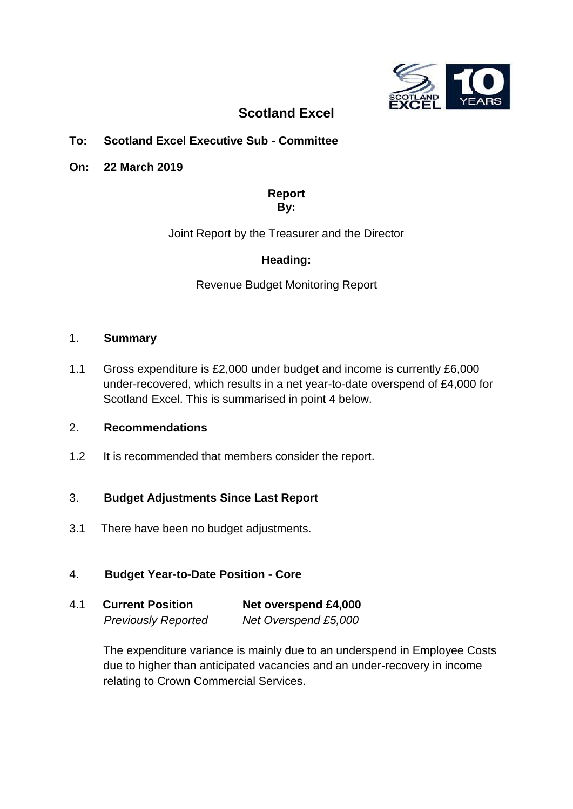

# **Scotland Excel**

# **To: Scotland Excel Executive Sub - Committee**

**On: 22 March 2019** 

### **Report By:**

Joint Report by the Treasurer and the Director

# **Heading:**

Revenue Budget Monitoring Report

### 1. **Summary**

1.1 Gross expenditure is £2,000 under budget and income is currently £6,000 under-recovered, which results in a net year-to-date overspend of £4,000 for Scotland Excel. This is summarised in point 4 below.

## 2. **Recommendations**

1.2 It is recommended that members consider the report.

### 3. **Budget Adjustments Since Last Report**

3.1There have been no budget adjustments.

### 4. **Budget Year-to-Date Position - Core**

| 4.1 | <b>Current Position</b>    | Net overspend £4,000 |
|-----|----------------------------|----------------------|
|     | <b>Previously Reported</b> | Net Overspend £5,000 |

The expenditure variance is mainly due to an underspend in Employee Costs due to higher than anticipated vacancies and an under-recovery in income relating to Crown Commercial Services.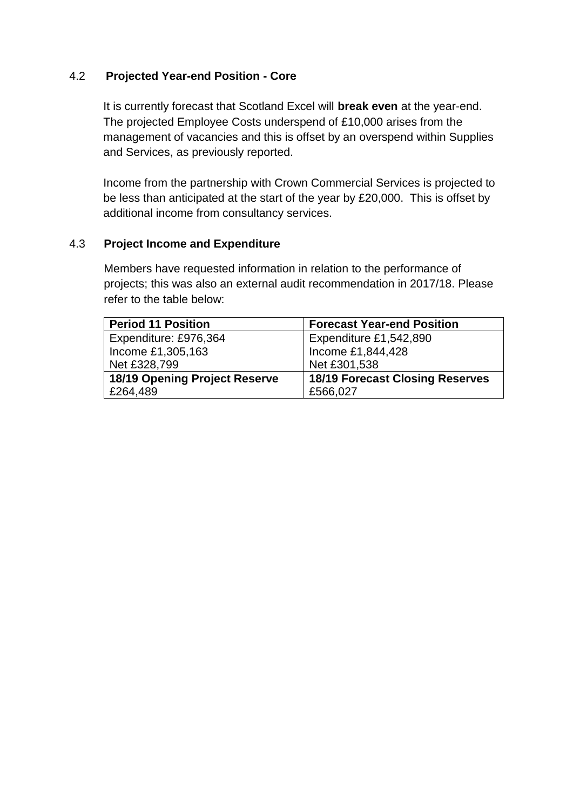## 4.2 **Projected Year-end Position - Core**

It is currently forecast that Scotland Excel will **break even** at the year-end. The projected Employee Costs underspend of £10,000 arises from the management of vacancies and this is offset by an overspend within Supplies and Services, as previously reported.

Income from the partnership with Crown Commercial Services is projected to be less than anticipated at the start of the year by £20,000. This is offset by additional income from consultancy services.

### 4.3 **Project Income and Expenditure**

Members have requested information in relation to the performance of projects; this was also an external audit recommendation in 2017/18. Please refer to the table below:

| <b>Period 11 Position</b>            | <b>Forecast Year-end Position</b>      |
|--------------------------------------|----------------------------------------|
| Expenditure: £976,364                | Expenditure £1,542,890                 |
| Income £1,305,163                    | Income £1,844,428                      |
| Net £328,799                         | Net £301,538                           |
| <b>18/19 Opening Project Reserve</b> | <b>18/19 Forecast Closing Reserves</b> |
| £264,489                             | £566,027                               |